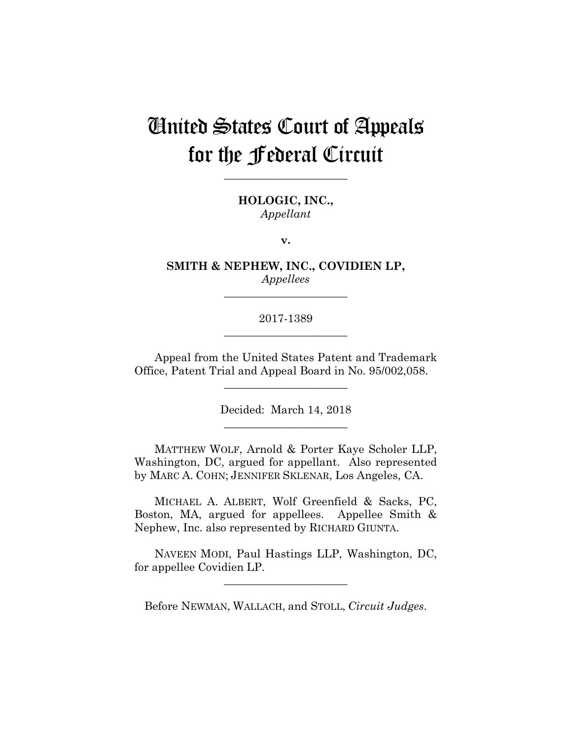# United States Court of Appeals for the Federal Circuit

**HOLOGIC, INC.,** *Appellant*

**\_\_\_\_\_\_\_\_\_\_\_\_\_\_\_\_\_\_\_\_\_\_** 

**v.**

**SMITH & NEPHEW, INC., COVIDIEN LP,** *Appellees*

**\_\_\_\_\_\_\_\_\_\_\_\_\_\_\_\_\_\_\_\_\_\_** 

2017-1389 **\_\_\_\_\_\_\_\_\_\_\_\_\_\_\_\_\_\_\_\_\_\_** 

Appeal from the United States Patent and Trademark Office, Patent Trial and Appeal Board in No. 95/002,058.

**\_\_\_\_\_\_\_\_\_\_\_\_\_\_\_\_\_\_\_\_\_\_** 

Decided: March 14, 2018 **\_\_\_\_\_\_\_\_\_\_\_\_\_\_\_\_\_\_\_\_\_\_** 

 MATTHEW WOLF, Arnold & Porter Kaye Scholer LLP, Washington, DC, argued for appellant. Also represented by MARC A. COHN; JENNIFER SKLENAR, Los Angeles, CA.

 MICHAEL A. ALBERT, Wolf Greenfield & Sacks, PC, Boston, MA, argued for appellees. Appellee Smith & Nephew, Inc. also represented by RICHARD GIUNTA.

 NAVEEN MODI, Paul Hastings LLP, Washington, DC, for appellee Covidien LP.

**\_\_\_\_\_\_\_\_\_\_\_\_\_\_\_\_\_\_\_\_\_\_** 

Before NEWMAN, WALLACH, and STOLL, *Circuit Judges*.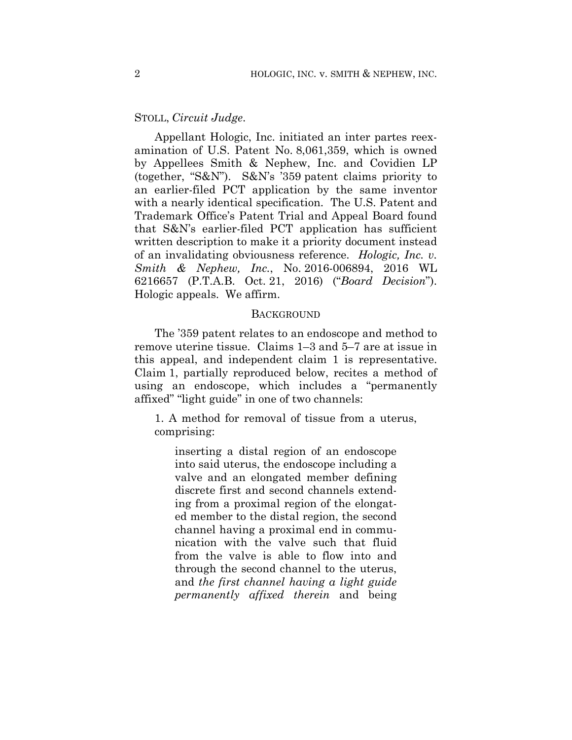## STOLL, *Circuit Judge*.

Appellant Hologic, Inc. initiated an inter partes reexamination of U.S. Patent No. 8,061,359, which is owned by Appellees Smith & Nephew, Inc. and Covidien LP (together, "S&N"). S&N's '359 patent claims priority to an earlier-filed PCT application by the same inventor with a nearly identical specification. The U.S. Patent and Trademark Office's Patent Trial and Appeal Board found that S&N's earlier-filed PCT application has sufficient written description to make it a priority document instead of an invalidating obviousness reference. *Hologic, Inc. v. Smith & Nephew, Inc.*, No. 2016-006894, 2016 WL 6216657 (P.T.A.B. Oct. 21, 2016) ("*Board Decision*"). Hologic appeals. We affirm.

### **BACKGROUND**

The '359 patent relates to an endoscope and method to remove uterine tissue.Claims 1–3 and 5–7 are at issue in this appeal, and independent claim 1 is representative. Claim 1, partially reproduced below, recites a method of using an endoscope, which includes a "permanently affixed" "light guide" in one of two channels:

1. A method for removal of tissue from a uterus, comprising:

inserting a distal region of an endoscope into said uterus, the endoscope including a valve and an elongated member defining discrete first and second channels extending from a proximal region of the elongated member to the distal region, the second channel having a proximal end in communication with the valve such that fluid from the valve is able to flow into and through the second channel to the uterus, and *the first channel having a light guide permanently affixed therein* and being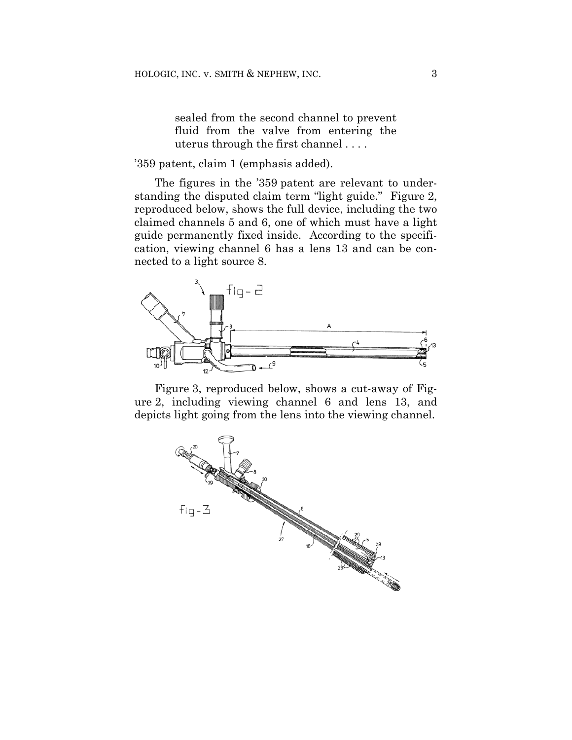sealed from the second channel to prevent fluid from the valve from entering the uterus through the first channel . . . .

## '359 patent, claim 1 (emphasis added).

The figures in the '359 patent are relevant to understanding the disputed claim term "light guide." Figure 2, reproduced below, shows the full device, including the two claimed channels 5 and 6, one of which must have a light guide permanently fixed inside. According to the specification, viewing channel 6 has a lens 13 and can be connected to a light source 8.



Figure 3, reproduced below, shows a cut-away of Figure 2, including viewing channel 6 and lens 13, and depicts light going from the lens into the viewing channel.

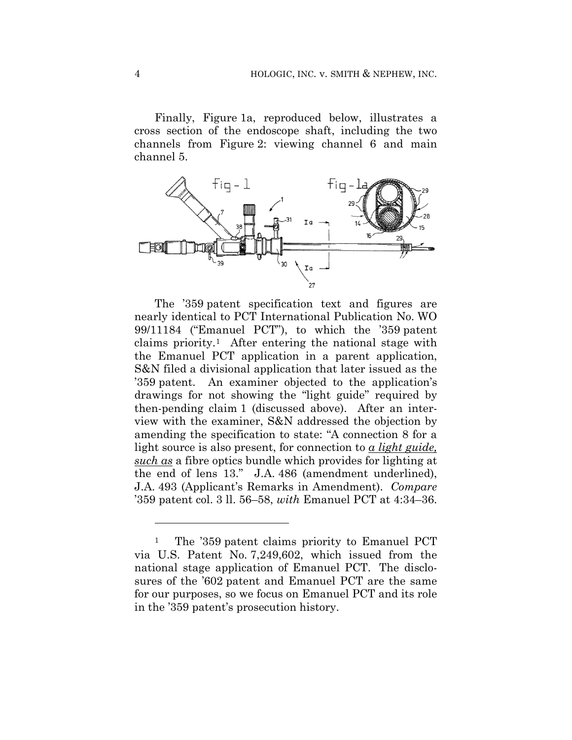Finally, Figure 1a, reproduced below, illustrates a cross section of the endoscope shaft, including the two channels from Figure 2: viewing channel 6 and main channel 5.



The '359 patent specification text and figures are nearly identical to PCT International Publication No. WO 99/11184 ("Emanuel PCT"), to which the '359 patent claims priority.1 After entering the national stage with the Emanuel PCT application in a parent application, S&N filed a divisional application that later issued as the '359 patent. An examiner objected to the application's drawings for not showing the "light guide" required by then-pending claim 1 (discussed above). After an interview with the examiner, S&N addressed the objection by amending the specification to state: "A connection 8 for a light source is also present, for connection to *a light guide, such as* a fibre optics bundle which provides for lighting at the end of lens 13." J.A. 486 (amendment underlined), J.A. 493 (Applicant's Remarks in Amendment). *Compare*  '359 patent col. 3 ll. 56–58, *with* Emanuel PCT at 4:34–36.

1

<sup>&</sup>lt;sup>1</sup> The '359 patent claims priority to Emanuel PCT via U.S. Patent No. 7,249,602, which issued from the national stage application of Emanuel PCT. The disclosures of the '602 patent and Emanuel PCT are the same for our purposes, so we focus on Emanuel PCT and its role in the '359 patent's prosecution history.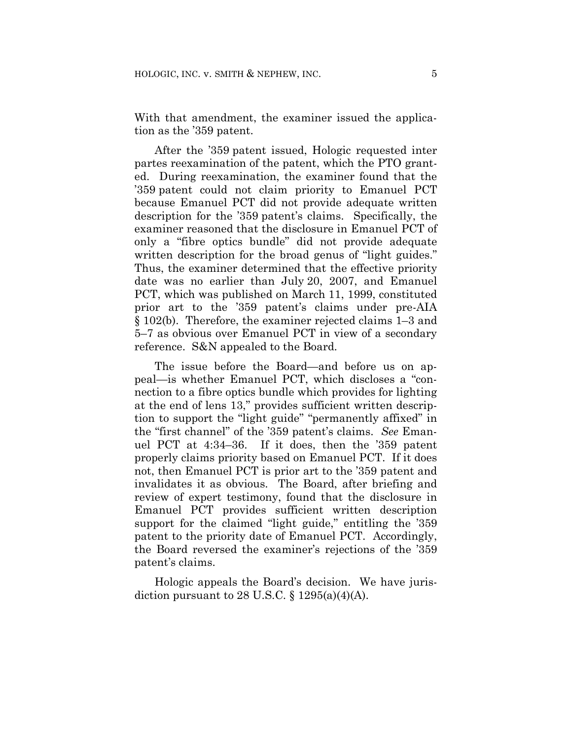With that amendment, the examiner issued the application as the '359 patent.

After the '359 patent issued, Hologic requested inter partes reexamination of the patent, which the PTO granted. During reexamination, the examiner found that the '359 patent could not claim priority to Emanuel PCT because Emanuel PCT did not provide adequate written description for the '359 patent's claims. Specifically, the examiner reasoned that the disclosure in Emanuel PCT of only a "fibre optics bundle" did not provide adequate written description for the broad genus of "light guides." Thus, the examiner determined that the effective priority date was no earlier than July 20, 2007, and Emanuel PCT, which was published on March 11, 1999, constituted prior art to the '359 patent's claims under pre-AIA § 102(b). Therefore, the examiner rejected claims 1–3 and 5–7 as obvious over Emanuel PCT in view of a secondary reference. S&N appealed to the Board.

The issue before the Board—and before us on appeal—is whether Emanuel PCT, which discloses a "connection to a fibre optics bundle which provides for lighting at the end of lens 13," provides sufficient written description to support the "light guide" "permanently affixed" in the "first channel" of the '359 patent's claims. *See* Emanuel PCT at 4:34–36.If it does, then the '359 patent properly claims priority based on Emanuel PCT. If it does not, then Emanuel PCT is prior art to the '359 patent and invalidates it as obvious. The Board, after briefing and review of expert testimony, found that the disclosure in Emanuel PCT provides sufficient written description support for the claimed "light guide," entitling the '359 patent to the priority date of Emanuel PCT. Accordingly, the Board reversed the examiner's rejections of the '359 patent's claims.

Hologic appeals the Board's decision. We have jurisdiction pursuant to 28 U.S.C.  $\S$  1295(a)(4)(A).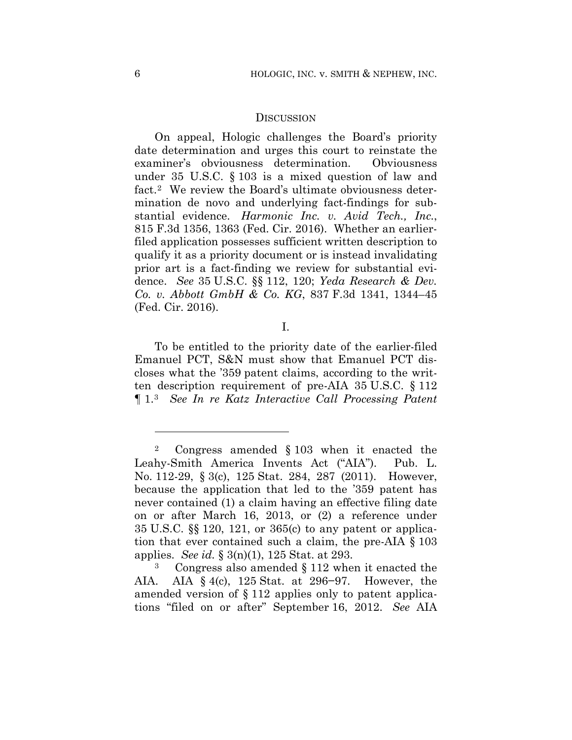### **DISCUSSION**

On appeal, Hologic challenges the Board's priority date determination and urges this court to reinstate the examiner's obviousness determination. Obviousness under 35 U.S.C. § 103 is a mixed question of law and fact.2 We review the Board's ultimate obviousness determination de novo and underlying fact-findings for substantial evidence. *Harmonic Inc. v. Avid Tech., Inc.*, 815 F.3d 1356, 1363 (Fed. Cir. 2016). Whether an earlierfiled application possesses sufficient written description to qualify it as a priority document or is instead invalidating prior art is a fact-finding we review for substantial evidence. *See* 35 U.S.C. §§ 112, 120; *Yeda Research & Dev. Co. v. Abbott GmbH & Co. KG*, 837 F.3d 1341, 1344–45 (Fed. Cir. 2016).

I.

To be entitled to the priority date of the earlier-filed Emanuel PCT, S&N must show that Emanuel PCT discloses what the '359 patent claims, according to the written description requirement of pre-AIA 35 U.S.C. § 112 ¶ 1.3 *See In re Katz Interactive Call Processing Patent* 

<u>.</u>

<sup>2</sup> Congress amended § 103 when it enacted the Leahy-Smith America Invents Act ("AIA"). Pub. L. No. 112-29, § 3(c), 125 Stat. 284, 287 (2011). However, because the application that led to the '359 patent has never contained (1) a claim having an effective filing date on or after March 16, 2013, or (2) a reference under 35 U.S.C. §§ 120, 121, or 365(c) to any patent or application that ever contained such a claim, the pre-AIA § 103 applies. *See id.* § 3(n)(1), 125 Stat. at 293.

Congress also amended  $\S 112$  when it enacted the AIA. AIA § 4(c), 125 Stat. at 296−97. However, the amended version of § 112 applies only to patent applications "filed on or after" September 16, 2012. *See* AIA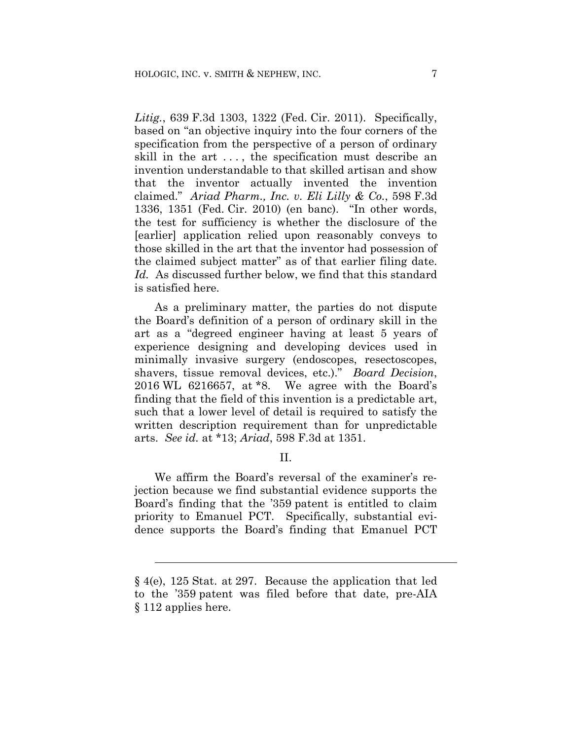*Litig.*, 639 F.3d 1303, 1322 (Fed. Cir. 2011). Specifically, based on "an objective inquiry into the four corners of the specification from the perspective of a person of ordinary skill in the art . . . , the specification must describe an invention understandable to that skilled artisan and show that the inventor actually invented the invention claimed." *Ariad Pharm., Inc. v. Eli Lilly & Co.*, 598 F.3d 1336, 1351 (Fed. Cir. 2010) (en banc). "In other words, the test for sufficiency is whether the disclosure of the [earlier] application relied upon reasonably conveys to those skilled in the art that the inventor had possession of the claimed subject matter" as of that earlier filing date. *Id.* As discussed further below, we find that this standard is satisfied here.

As a preliminary matter, the parties do not dispute the Board's definition of a person of ordinary skill in the art as a "degreed engineer having at least 5 years of experience designing and developing devices used in minimally invasive surgery (endoscopes, resectoscopes, shavers, tissue removal devices, etc.)." *Board Decision*, 2016 WL 6216657, at \*8. We agree with the Board's finding that the field of this invention is a predictable art, such that a lower level of detail is required to satisfy the written description requirement than for unpredictable arts. *See id.* at \*13; *Ariad*, 598 F.3d at 1351.

II.

We affirm the Board's reversal of the examiner's rejection because we find substantial evidence supports the Board's finding that the '359 patent is entitled to claim priority to Emanuel PCT. Specifically, substantial evidence supports the Board's finding that Emanuel PCT

l

<sup>§ 4(</sup>e), 125 Stat. at 297. Because the application that led to the '359 patent was filed before that date, pre-AIA § 112 applies here.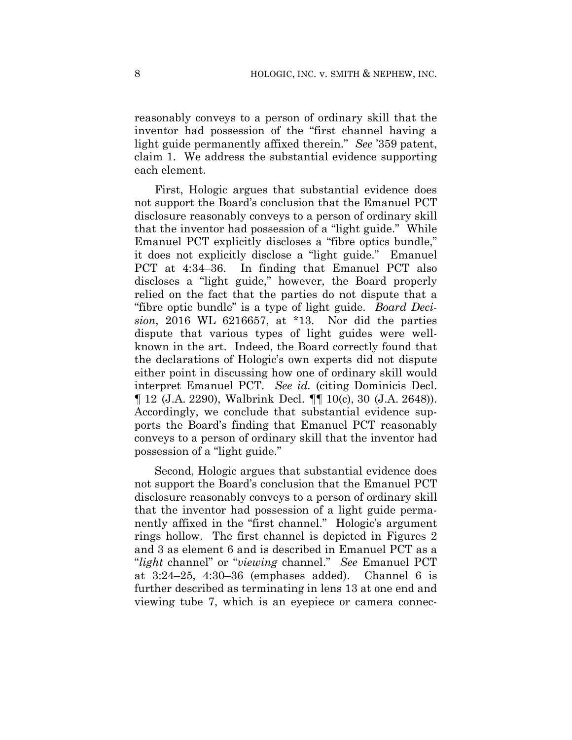reasonably conveys to a person of ordinary skill that the inventor had possession of the "first channel having a light guide permanently affixed therein." *See* '359 patent, claim 1. We address the substantial evidence supporting each element.

First, Hologic argues that substantial evidence does not support the Board's conclusion that the Emanuel PCT disclosure reasonably conveys to a person of ordinary skill that the inventor had possession of a "light guide." While Emanuel PCT explicitly discloses a "fibre optics bundle," it does not explicitly disclose a "light guide." Emanuel PCT at 4:34–36. In finding that Emanuel PCT also discloses a "light guide," however, the Board properly relied on the fact that the parties do not dispute that a "fibre optic bundle" is a type of light guide. *Board Decision*, 2016 WL 6216657, at \*13. Nor did the parties dispute that various types of light guides were wellknown in the art. Indeed, the Board correctly found that the declarations of Hologic's own experts did not dispute either point in discussing how one of ordinary skill would interpret Emanuel PCT. *See id.* (citing Dominicis Decl. ¶ 12 (J.A. 2290), Walbrink Decl. ¶¶ 10(c), 30 (J.A. 2648)). Accordingly, we conclude that substantial evidence supports the Board's finding that Emanuel PCT reasonably conveys to a person of ordinary skill that the inventor had possession of a "light guide."

Second, Hologic argues that substantial evidence does not support the Board's conclusion that the Emanuel PCT disclosure reasonably conveys to a person of ordinary skill that the inventor had possession of a light guide permanently affixed in the "first channel." Hologic's argument rings hollow. The first channel is depicted in Figures 2 and 3 as element 6 and is described in Emanuel PCT as a "*light* channel" or "*viewing* channel." *See* Emanuel PCT at 3:24–25, 4:30–36 (emphases added). Channel 6 is further described as terminating in lens 13 at one end and viewing tube 7, which is an eyepiece or camera connec-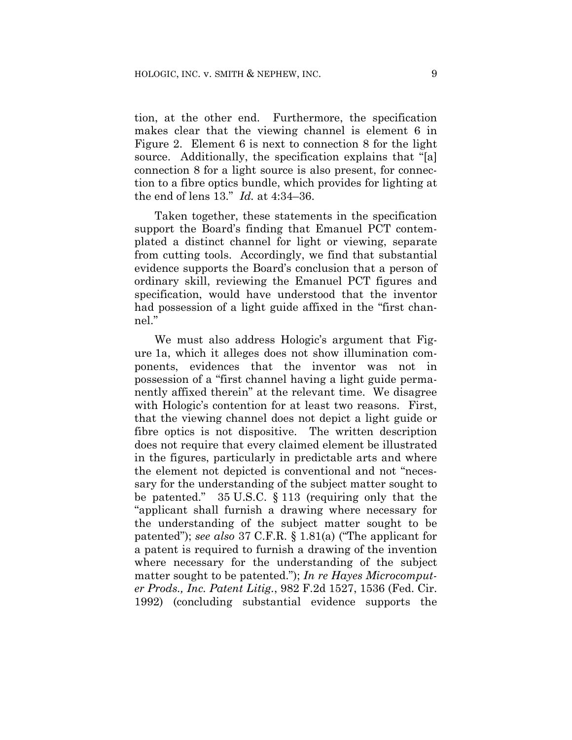tion, at the other end. Furthermore, the specification makes clear that the viewing channel is element 6 in Figure 2. Element 6 is next to connection 8 for the light source. Additionally, the specification explains that "[a] connection 8 for a light source is also present, for connection to a fibre optics bundle, which provides for lighting at the end of lens 13."*Id.* at 4:34–36.

Taken together, these statements in the specification support the Board's finding that Emanuel PCT contemplated a distinct channel for light or viewing, separate from cutting tools. Accordingly, we find that substantial evidence supports the Board's conclusion that a person of ordinary skill, reviewing the Emanuel PCT figures and specification, would have understood that the inventor had possession of a light guide affixed in the "first channel."

We must also address Hologic's argument that Figure 1a, which it alleges does not show illumination components, evidences that the inventor was not in possession of a "first channel having a light guide permanently affixed therein" at the relevant time. We disagree with Hologic's contention for at least two reasons. First, that the viewing channel does not depict a light guide or fibre optics is not dispositive. The written description does not require that every claimed element be illustrated in the figures, particularly in predictable arts and where the element not depicted is conventional and not "necessary for the understanding of the subject matter sought to be patented." 35 U.S.C. § 113 (requiring only that the "applicant shall furnish a drawing where necessary for the understanding of the subject matter sought to be patented"); *see also* 37 C.F.R. § 1.81(a) ("The applicant for a patent is required to furnish a drawing of the invention where necessary for the understanding of the subject matter sought to be patented."); *In re Hayes Microcomputer Prods., Inc. Patent Litig.*, 982 F.2d 1527, 1536 (Fed. Cir. 1992) (concluding substantial evidence supports the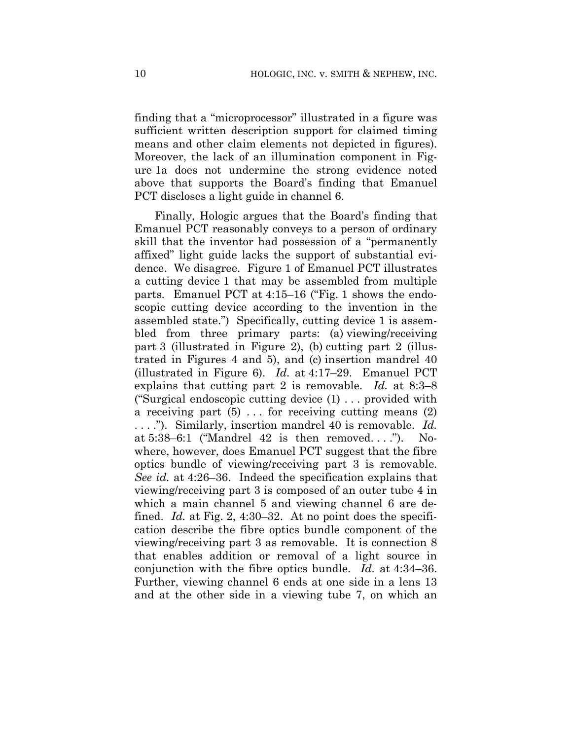finding that a "microprocessor" illustrated in a figure was sufficient written description support for claimed timing means and other claim elements not depicted in figures). Moreover, the lack of an illumination component in Figure 1a does not undermine the strong evidence noted above that supports the Board's finding that Emanuel PCT discloses a light guide in channel 6.

Finally, Hologic argues that the Board's finding that Emanuel PCT reasonably conveys to a person of ordinary skill that the inventor had possession of a "permanently affixed" light guide lacks the support of substantial evidence. We disagree. Figure 1 of Emanuel PCT illustrates a cutting device 1 that may be assembled from multiple parts. Emanuel PCT at 4:15–16 ("Fig. 1 shows the endoscopic cutting device according to the invention in the assembled state.") Specifically, cutting device 1 is assembled from three primary parts: (a) viewing/receiving part 3 (illustrated in Figure 2), (b) cutting part 2 (illustrated in Figures 4 and 5), and (c) insertion mandrel 40 (illustrated in Figure 6). *Id.* at 4:17–29. Emanuel PCT explains that cutting part 2 is removable. *Id.* at 8:3–8 ("Surgical endoscopic cutting device (1) . . . provided with a receiving part  $(5)$ ... for receiving cutting means  $(2)$ . . . ."). Similarly, insertion mandrel 40 is removable. *Id.* at  $5:38-6:1$  ("Mandrel  $42$  is then removed...."). Nowhere, however, does Emanuel PCT suggest that the fibre optics bundle of viewing/receiving part 3 is removable. *See id.* at 4:26–36. Indeed the specification explains that viewing/receiving part 3 is composed of an outer tube 4 in which a main channel 5 and viewing channel 6 are defined. *Id.* at Fig. 2, 4:30–32. At no point does the specification describe the fibre optics bundle component of the viewing/receiving part 3 as removable. It is connection 8 that enables addition or removal of a light source in conjunction with the fibre optics bundle. *Id.* at 4:34–36. Further, viewing channel 6 ends at one side in a lens 13 and at the other side in a viewing tube 7, on which an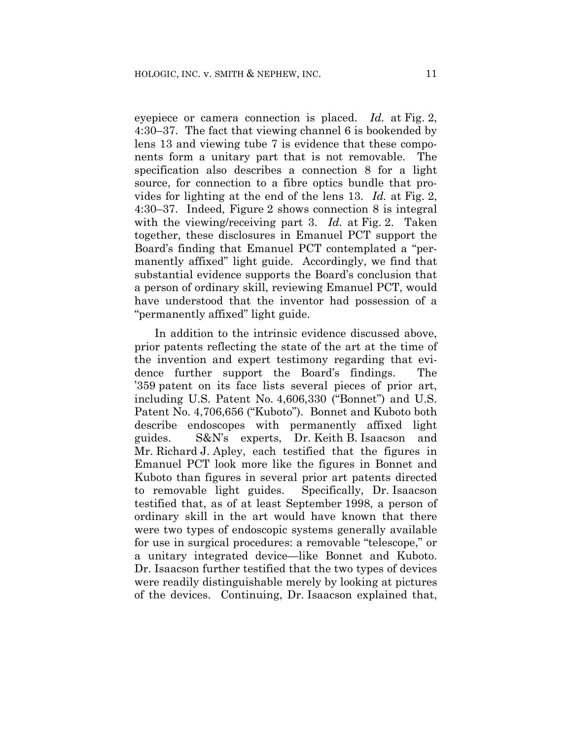eyepiece or camera connection is placed. *Id.* at Fig. 2, 4:30–37. The fact that viewing channel 6 is bookended by lens 13 and viewing tube 7 is evidence that these components form a unitary part that is not removable. The specification also describes a connection 8 for a light source, for connection to a fibre optics bundle that provides for lighting at the end of the lens 13. *Id.* at Fig. 2, 4:30–37. Indeed, Figure 2 shows connection 8 is integral with the viewing/receiving part 3. *Id.* at Fig. 2. Taken together, these disclosures in Emanuel PCT support the Board's finding that Emanuel PCT contemplated a "permanently affixed" light guide. Accordingly, we find that substantial evidence supports the Board's conclusion that a person of ordinary skill, reviewing Emanuel PCT, would have understood that the inventor had possession of a "permanently affixed" light guide.

In addition to the intrinsic evidence discussed above, prior patents reflecting the state of the art at the time of the invention and expert testimony regarding that evidence further support the Board's findings. The '359 patent on its face lists several pieces of prior art, including U.S. Patent No. 4,606,330 ("Bonnet") and U.S. Patent No. 4,706,656 ("Kuboto"). Bonnet and Kuboto both describe endoscopes with permanently affixed light guides. S&N's experts, Dr. Keith B. Isaacson and Mr. Richard J. Apley, each testified that the figures in Emanuel PCT look more like the figures in Bonnet and Kuboto than figures in several prior art patents directed to removable light guides. Specifically, Dr. Isaacson testified that, as of at least September 1998, a person of ordinary skill in the art would have known that there were two types of endoscopic systems generally available for use in surgical procedures: a removable "telescope," or a unitary integrated device—like Bonnet and Kuboto. Dr. Isaacson further testified that the two types of devices were readily distinguishable merely by looking at pictures of the devices. Continuing, Dr. Isaacson explained that,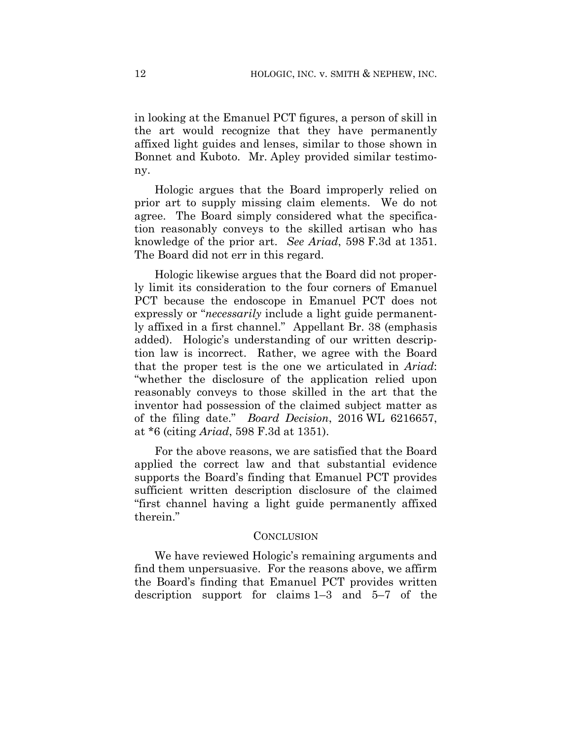in looking at the Emanuel PCT figures, a person of skill in the art would recognize that they have permanently affixed light guides and lenses, similar to those shown in Bonnet and Kuboto. Mr. Apley provided similar testimony.

Hologic argues that the Board improperly relied on prior art to supply missing claim elements. We do not agree. The Board simply considered what the specification reasonably conveys to the skilled artisan who has knowledge of the prior art. *See Ariad*, 598 F.3d at 1351. The Board did not err in this regard.

Hologic likewise argues that the Board did not properly limit its consideration to the four corners of Emanuel PCT because the endoscope in Emanuel PCT does not expressly or "*necessarily* include a light guide permanently affixed in a first channel." Appellant Br. 38 (emphasis added). Hologic's understanding of our written description law is incorrect. Rather, we agree with the Board that the proper test is the one we articulated in *Ariad*: "whether the disclosure of the application relied upon reasonably conveys to those skilled in the art that the inventor had possession of the claimed subject matter as of the filing date." *Board Decision*, 2016 WL 6216657, at \*6 (citing *Ariad*, 598 F.3d at 1351).

For the above reasons, we are satisfied that the Board applied the correct law and that substantial evidence supports the Board's finding that Emanuel PCT provides sufficient written description disclosure of the claimed "first channel having a light guide permanently affixed therein."

### **CONCLUSION**

We have reviewed Hologic's remaining arguments and find them unpersuasive. For the reasons above, we affirm the Board's finding that Emanuel PCT provides written description support for claims 1–3 and 5–7 of the